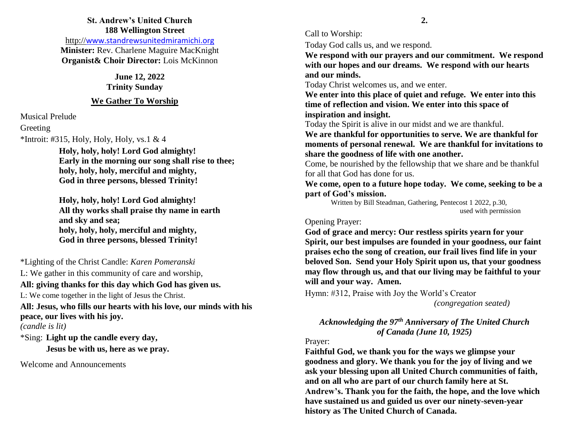#### **St. Andrew's United Church 188 Wellington Street**

http://[www.standrewsunitedmiramichi.org](http://www.standrewsunitedmiramichi.org/) **Minister:** Rev. Charlene Maguire MacKnight **Organist& Choir Director:** Lois McKinnon

> **June 12, 2022 Trinity Sunday**

#### **We Gather To Worship**

Musical Prelude

Greeting

\*Introit: #315, Holy, Holy, Holy, vs.1 & 4

**Holy, holy, holy! Lord God almighty! Early in the morning our song shall rise to thee; holy, holy, holy, merciful and mighty, God in three persons, blessed Trinity!**

**Holy, holy, holy! Lord God almighty! All thy works shall praise thy name in earth and sky and sea; holy, holy, holy, merciful and mighty, God in three persons, blessed Trinity!**

\*Lighting of the Christ Candle: *Karen Pomeranski*

L: We gather in this community of care and worship,

# **All: giving thanks for this day which God has given us.**

L: We come together in the light of Jesus the Christ.

**All: Jesus, who fills our hearts with his love, our minds with his peace, our lives with his joy.**

*(candle is lit)*

\*Sing: **Light up the candle every day,**

**Jesus be with us, here as we pray.**

Welcome and Announcements

Call to Worship:

Today God calls us, and we respond.

**We respond with our prayers and our commitment. We respond with our hopes and our dreams. We respond with our hearts and our minds.**

Today Christ welcomes us, and we enter.

**We enter into this place of quiet and refuge. We enter into this time of reflection and vision. We enter into this space of inspiration and insight.**

Today the Spirit is alive in our midst and we are thankful.

**We are thankful for opportunities to serve. We are thankful for moments of personal renewal. We are thankful for invitations to share the goodness of life with one another.**

Come, be nourished by the fellowship that we share and be thankful for all that God has done for us.

**We come, open to a future hope today. We come, seeking to be a part of God's mission.**

Written by Bill Steadman, Gathering, Pentecost 1 2022, p.30, used with permission

## Opening Prayer:

**God of grace and mercy: Our restless spirits yearn for your Spirit, our best impulses are founded in your goodness, our faint praises echo the song of creation, our frail lives find life in your beloved Son. Send your Holy Spirit upon us, that your goodness may flow through us, and that our living may be faithful to your will and your way. Amen.**

Hymn: #312, Praise with Joy the World's Creator

*(congregation seated)*

# *Acknowledging the 97th Anniversary of The United Church of Canada (June 10, 1925)*

## Prayer:

**Faithful God, we thank you for the ways we glimpse your goodness and glory. We thank you for the joy of living and we ask your blessing upon all United Church communities of faith, and on all who are part of our church family here at St. Andrew's. Thank you for the faith, the hope, and the love which have sustained us and guided us over our ninety-seven-year history as The United Church of Canada.**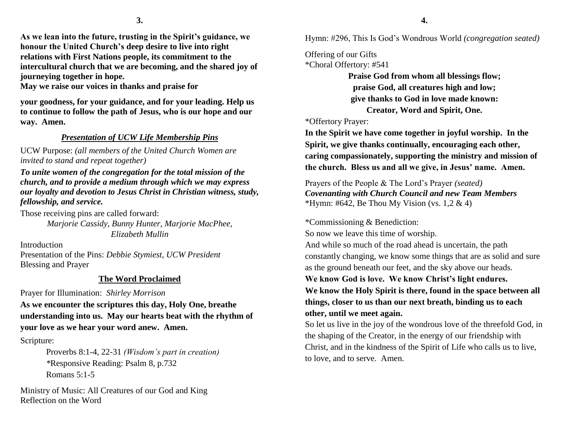**As we lean into the future, trusting in the Spirit's guidance, we honour the United Church's deep desire to live into right relations with First Nations people, its commitment to the intercultural church that we are becoming, and the shared joy of journeying together in hope.** 

**May we raise our voices in thanks and praise for** 

**your goodness, for your guidance, and for your leading. Help us to continue to follow the path of Jesus, who is our hope and our way. Amen.**

# *Presentation of UCW Life Membership Pins*

UCW Purpose: *(all members of the United Church Women are invited to stand and repeat together)*

*To unite women of the congregation for the total mission of the church, and to provide a medium through which we may express our loyalty and devotion to Jesus Christ in Christian witness, study, fellowship, and service.*

Those receiving pins are called forward: *Marjorie Cassidy, Bunny Hunter, Marjorie MacPhee, Elizabeth Mullin*

Introduction Presentation of the Pins: *Debbie Stymiest, UCW President* Blessing and Prayer

# **The Word Proclaimed**

Prayer for Illumination: *Shirley Morrison*

**As we encounter the scriptures this day, Holy One, breathe understanding into us. May our hearts beat with the rhythm of your love as we hear your word anew. Amen.** 

Scripture:

Proverbs 8:1-4, 22-31 *(Wisdom's part in creation) \**Responsive Reading: Psalm 8, p.732 Romans 5:1-5

Ministry of Music: All Creatures of our God and King Reflection on the Word

Hymn: #296, This Is God's Wondrous World *(congregation seated)*

Offering of our Gifts \*Choral Offertory: #541

> **Praise God from whom all blessings flow; praise God, all creatures high and low; give thanks to God in love made known: Creator, Word and Spirit, One.**

\*Offertory Prayer:

**In the Spirit we have come together in joyful worship. In the Spirit, we give thanks continually, encouraging each other, caring compassionately, supporting the ministry and mission of the church. Bless us and all we give, in Jesus' name. Amen.**

Prayers of the People & The Lord's Prayer *(seated) Covenanting with Church Council and new Team Members* \*Hymn: #642, Be Thou My Vision (vs. 1,2 & 4)

\*Commissioning & Benediction:

So now we leave this time of worship.

And while so much of the road ahead is uncertain, the path constantly changing, we know some things that are as solid and sure as the ground beneath our feet, and the sky above our heads.

**We know God is love. We know Christ's light endures.**

**We know the Holy Spirit is there, found in the space between all things, closer to us than our next breath, binding us to each other, until we meet again.**

So let us live in the joy of the wondrous love of the threefold God, in the shaping of the Creator, in the energy of our friendship with Christ, and in the kindness of the Spirit of Life who calls us to live, to love, and to serve. Amen.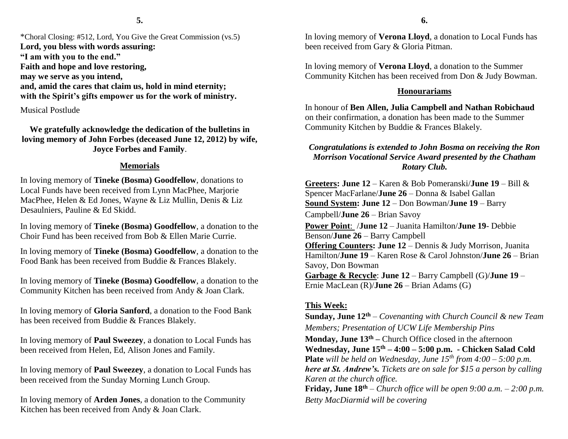\*Choral Closing: #512, Lord, You Give the Great Commission (vs.5) **Lord, you bless with words assuring: "I am with you to the end." Faith and hope and love restoring, may we serve as you intend, and, amid the cares that claim us, hold in mind eternity; with the Spirit's gifts empower us for the work of ministry.**

Musical Postlude

**We gratefully acknowledge the dedication of the bulletins in loving memory of John Forbes (deceased June 12, 2012) by wife, Joyce Forbes and Family**.

## **Memorials**

In loving memory of **Tineke (Bosma) Goodfellow**, donations to Local Funds have been received from Lynn MacPhee, Marjorie MacPhee, Helen & Ed Jones, Wayne & Liz Mullin, Denis & Liz Desaulniers, Pauline & Ed Skidd.

In loving memory of **Tineke (Bosma) Goodfellow**, a donation to the Choir Fund has been received from Bob & Ellen Marie Currie.

In loving memory of **Tineke (Bosma) Goodfellow**, a donation to the Food Bank has been received from Buddie & Frances Blakely.

In loving memory of **Tineke (Bosma) Goodfellow**, a donation to the Community Kitchen has been received from Andy & Joan Clark.

In loving memory of **Gloria Sanford**, a donation to the Food Bank has been received from Buddie & Frances Blakely.

In loving memory of **Paul Sweezey**, a donation to Local Funds has been received from Helen, Ed, Alison Jones and Family.

In loving memory of **Paul Sweezey**, a donation to Local Funds has been received from the Sunday Morning Lunch Group.

In loving memory of **Arden Jones**, a donation to the Community Kitchen has been received from Andy & Joan Clark.

In loving memory of **Verona Lloyd**, a donation to Local Funds has been received from Gary & Gloria Pitman.

In loving memory of **Verona Lloyd**, a donation to the Summer Community Kitchen has been received from Don & Judy Bowman.

## **Honourariams**

In honour of **Ben Allen, Julia Campbell and Nathan Robichaud** on their confirmation, a donation has been made to the Summer Community Kitchen by Buddie & Frances Blakely.

## *Congratulations is extended to John Bosma on receiving the Ron Morrison Vocational Service Award presented by the Chatham Rotary Club.*

**Greeters: June 12** – Karen & Bob Pomeranski/**June 19** – Bill & Spencer MacFarlane/**June 26** – Donna & Isabel Gallan **Sound System: June 12** – Don Bowman/**June 19** – Barry Campbell/**June 26** – Brian Savoy **Power Point**: /**June 12** – Juanita Hamilton/**June 19**- Debbie Benson/**June 26** – Barry Campbell **Offering Counters: June 12** – Dennis & Judy Morrison, Juanita Hamilton/**June 19** – Karen Rose & Carol Johnston/**June 26** – Brian Savoy, Don Bowman **Garbage & Recycle**: **June 12** – Barry Campbell (G)/**June 19** –

Ernie MacLean (R)/**June 26** – Brian Adams (G)

## **This Week:**

**Sunday, June 12th** – *Covenanting with Church Council & new Team Members; Presentation of UCW Life Membership Pins* **Monday, June 13th –** Church Office closed in the afternoon **Wednesday, June 15th – 4:00 – 5:00 p.m. - Chicken Salad Cold Plate** *will be held on Wednesday, June 15th from 4:00 – 5:00 p.m. here at St. Andrew's. Tickets are on sale for \$15 a person by calling Karen at the church office.*  **Friday, June**  $18^{th}$  – *Church office will be open 9:00 a.m.* – 2:00 *p.m. Betty MacDiarmid will be covering*